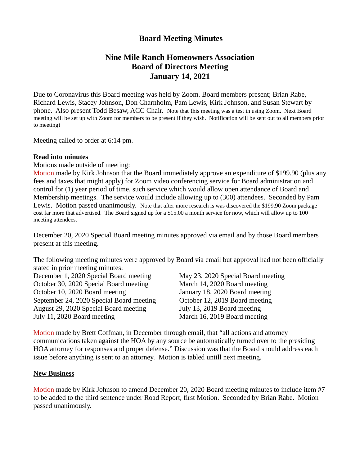# **Board Meeting Minutes**

# **Nine Mile Ranch Homeowners Association Board of Directors Meeting January 14, 2021**

Due to Coronavirus this Board meeting was held by Zoom. Board members present; Brian Rabe, Richard Lewis, Stacey Johnson, Don Charnholm, Pam Lewis, Kirk Johnson, and Susan Stewart by phone. Also present Todd Besaw, ACC Chair. Note that this meeting was a test in using Zoom. Next Board meeting will be set up with Zoom for members to be present if they wish. Notification will be sent out to all members prior to meeting)

Meeting called to order at 6:14 pm.

### **Read into minutes**

Motions made outside of meeting:

Motion made by Kirk Johnson that the Board immediately approve an expenditure of \$199.90 (plus any fees and taxes that might apply) for Zoom video conferencing service for Board administration and control for (1) year period of time, such service which would allow open attendance of Board and Membership meetings. The service would include allowing up to (300) attendees. Seconded by Pam Lewis. Motion passed unanimously. Note that after more research is was discovered the \$199.90 Zoom package cost far more that advertised. The Board signed up for a \$15.00 a month service for now, which will allow up to 100 meeting attendees.

December 20, 2020 Special Board meeting minutes approved via email and by those Board members present at this meeting.

The following meeting minutes were approved by Board via email but approval had not been officially stated in prior meeting minutes:

December 1, 2020 Special Board meeting May 23, 2020 Special Board meeting October 30, 2020 Special Board meeting March 14, 2020 Board meeting October 10, 2020 Board meeting January 18, 2020 Board meeting September 24, 2020 Special Board meeting October 12, 2019 Board meeting August 29, 2020 Special Board meeting July 13, 2019 Board meeting July 11, 2020 Board meeting March 16, 2019 Board meeting

Motion made by Brett Coffman, in December through email, that "all actions and attorney communications taken against the HOA by any source be automatically turned over to the presiding HOA attorney for responses and proper defense." Discussion was that the Board should address each issue before anything is sent to an attorney. Motion is tabled untill next meeting.

#### **New Business**

Motion made by Kirk Johnson to amend December 20, 2020 Board meeting minutes to include item #7 to be added to the third sentence under Road Report, first Motion. Seconded by Brian Rabe. Motion passed unanimously.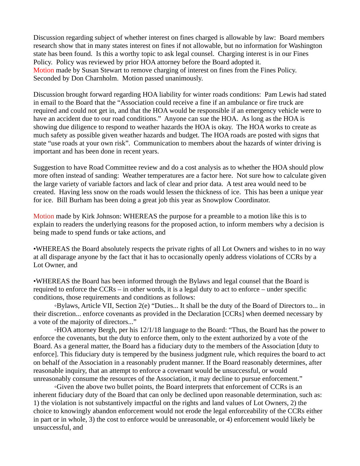Discussion regarding subject of whether interest on fines charged is allowable by law: Board members research show that in many states interest on fines if not allowable, but no information for Washington state has been found. Is this a worthy topic to ask legal counsel. Charging interest is in our Fines Policy. Policy was reviewed by prior HOA attorney before the Board adopted it. Motion made by Susan Stewart to remove charging of interest on fines from the Fines Policy. Seconded by Don Charnholm. Motion passed unanimously.

Discussion brought forward regarding HOA liability for winter roads conditions: Pam Lewis had stated in email to the Board that the "Association could receive a fine if an ambulance or fire truck are required and could not get in, and that the HOA would be responsible if an emergency vehicle were to have an accident due to our road conditions." Anyone can sue the HOA. As long as the HOA is showing due diligence to respond to weather hazards the HOA is okay. The HOA works to create as much safety as possible given weather hazards and budget. The HOA roads are posted with signs that state "use roads at your own risk". Communication to members about the hazards of winter driving is important and has been done in recent years.

Suggestion to have Road Committee review and do a cost analysis as to whether the HOA should plow more often instead of sanding: Weather temperatures are a factor here. Not sure how to calculate given the large variety of variable factors and lack of clear and prior data. A test area would need to be created. Having less snow on the roads would lessen the thickness of ice. This has been a unique year for ice. Bill Burham has been doing a great job this year as Snowplow Coordinator.

Motion made by Kirk Johnson: WHEREAS the purpose for a preamble to a motion like this is to explain to readers the underlying reasons for the proposed action, to inform members why a decision is being made to spend funds or take actions, and

•WHEREAS the Board absolutely respects the private rights of all Lot Owners and wishes to in no way at all disparage anyone by the fact that it has to occasionally openly address violations of CCRs by a Lot Owner, and

•WHEREAS the Board has been informed through the Bylaws and legal counsel that the Board is required to enforce the CCRs – in other words, it is a legal duty to act to enforce – under specific conditions, those requirements and conditions as follows:

◦Bylaws, Article VII, Section 2(e) "Duties... It shall be the duty of the Board of Directors to... in their discretion... enforce covenants as provided in the Declaration [CCRs] when deemed necessary by a vote of the majority of directors..."

◦HOA attorney Bergh, per his 12/1/18 language to the Board: "Thus, the Board has the power to enforce the covenants, but the duty to enforce them, only to the extent authorized by a vote of the Board. As a general matter, the Board has a fiduciary duty to the members of the Association [duty to enforce]. This fiduciary duty is tempered by the business judgment rule, which requires the board to act on behalf of the Association in a reasonably prudent manner. If the Board reasonably determines, after reasonable inquiry, that an attempt to enforce a covenant would be unsuccessful, or would unreasonably consume the resources of the Association, it may decline to pursue enforcement."

◦Given the above two bullet points, the Board interprets that enforcement of CCRs is an inherent fiduciary duty of the Board that can only be declined upon reasonable determination, such as: 1) the violation is not substantively impactful on the rights and land values of Lot Owners, 2) the choice to knowingly abandon enforcement would not erode the legal enforceability of the CCRs either in part or in whole, 3) the cost to enforce would be unreasonable, or 4) enforcement would likely be unsuccessful, and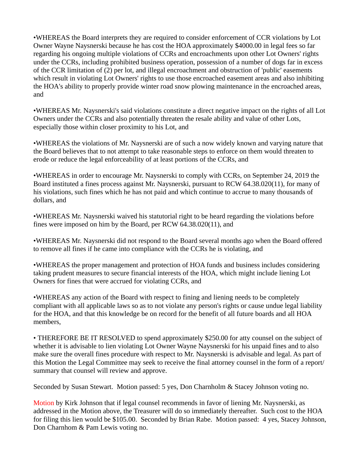•WHEREAS the Board interprets they are required to consider enforcement of CCR violations by Lot Owner Wayne Naysnerski because he has cost the HOA approximately \$4000.00 in legal fees so far regarding his ongoing multiple violations of CCRs and encroachments upon other Lot Owners' rights under the CCRs, including prohibited business operation, possession of a number of dogs far in excess of the CCR limitation of (2) per lot, and illegal encroachment and obstruction of 'public' easements which result in violating Lot Owners' rights to use those encroached easement areas and also inhibiting the HOA's ability to properly provide winter road snow plowing maintenance in the encroached areas, and

•WHEREAS Mr. Naysnerski's said violations constitute a direct negative impact on the rights of all Lot Owners under the CCRs and also potentially threaten the resale ability and value of other Lots, especially those within closer proximity to his Lot, and

•WHEREAS the violations of Mr. Naysnerski are of such a now widely known and varying nature that the Board believes that to not attempt to take reasonable steps to enforce on them would threaten to erode or reduce the legal enforceability of at least portions of the CCRs, and

•WHEREAS in order to encourage Mr. Naysnerski to comply with CCRs, on September 24, 2019 the Board instituted a fines process against Mr. Naysnerski, pursuant to RCW 64.38.020(11), for many of his violations, such fines which he has not paid and which continue to accrue to many thousands of dollars, and

•WHEREAS Mr. Naysnerski waived his statutorial right to be heard regarding the violations before fines were imposed on him by the Board, per RCW 64.38.020(11), and

•WHEREAS Mr. Naysnerski did not respond to the Board several months ago when the Board offered to remove all fines if he came into compliance with the CCRs he is violating, and

•WHEREAS the proper management and protection of HOA funds and business includes considering taking prudent measures to secure financial interests of the HOA, which might include liening Lot Owners for fines that were accrued for violating CCRs, and

•WHEREAS any action of the Board with respect to fining and liening needs to be completely compliant with all applicable laws so as to not violate any person's rights or cause undue legal liability for the HOA, and that this knowledge be on record for the benefit of all future boards and all HOA members,

• THEREFORE BE IT RESOLVED to spend approximately \$250.00 for atty counsel on the subject of whether it is advisable to lien violating Lot Owner Wayne Naysnerski for his unpaid fines and to also make sure the overall fines procedure with respect to Mr. Naysnerski is advisable and legal. As part of this Motion the Legal Committee may seek to receive the final attorney counsel in the form of a report/ summary that counsel will review and approve.

Seconded by Susan Stewart. Motion passed: 5 yes, Don Charnholm & Stacey Johnson voting no.

Motion by Kirk Johnson that if legal counsel recommends in favor of liening Mr. Naysnerski, as addressed in the Motion above, the Treasurer will do so immediately thereafter. Such cost to the HOA for filing this lien would be \$105.00. Seconded by Brian Rabe. Motion passed: 4 yes, Stacey Johnson, Don Charnhom & Pam Lewis voting no.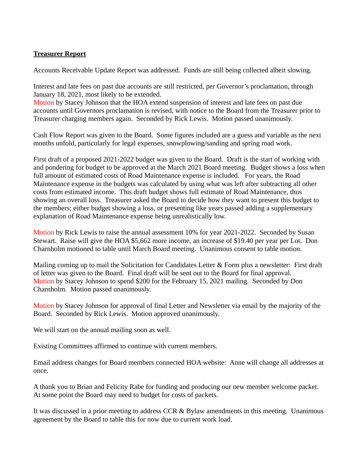### **Treasurer Report**

Accounts Receivable Update Report was addressed. Funds are still being collected albeit slowing.

Interest and late fees on past due accounts are still restricted, per Governor's proclamation, through January 18, 2021, most likely to be extended.

Motion by Stacey Johnson that the HOA extend suspension of interest and late fees on past due accounts until Governors proclamation is revised, with notice to the Board from the Treasurer prior to Treasurer charging members again. Seconded by Rick Lewis. Motion passed unanimously.

Cash Flow Report was given to the Board. Some figures included are a guess and variable as the next months unfold, particularly for legal expenses, snowplowing/sanding and spring road work.

First draft of a proposed 2021-2022 budget was given to the Board. Draft is the start of working with and pondering for budget to be approved at the March 2021 Board meeting. Budget shows a loss when full amount of estimated costs of Road Maintenance expense is included. For years, the Road Maintenance expense in the budgets was calculated by using what was left after subtracting all other costs from estimated income. This draft budget shows full estimate of Road Maintenance, thus showing an overall loss. Treasurer asked the Board to decide how they want to present this budget to the members; either budget showing a loss, or presenting like years passed adding a supplementary explanation of Road Maintenance expense being unrealistically low.

Motion by Rick Lewis to raise the annual assessment 10% for year 2021-2022. Seconded by Susan Stewart. Raise will give the HOA \$5,662 more income, an increase of \$19.40 per year per Lot. Don Charnholm motioned to table until March Board meeting. Unanimous consent to table motion.

Mailing coming up to mail the Solicitation for Candidates Letter & Form plus a newsletter: First draft of letter was given to the Board. Final draft will be sent out to the Board for final approval. Motion by Stacey Johnson to spend \$200 for the February 15, 2021 mailing. Seconded by Don Charnholm. Motion passed unanimously.

Motion by Stacey Johnson for approval of final Letter and Newsletter via email by the majority of the Board. Seconded by Rick Lewis. Motion approved unanimously.

We will start on the annual mailing soon as well.

Existing Committees affirmed to continue with current members.

Email address changes for Board members connected HOA website: Anne will change all addresses at once.

A thank you to Brian and Felicity Rabe for funding and producing our new member welcome packet. At some point the Board may need to budget for costs of packets.

It was discussed in a prior meeting to address CCR & Bylaw amendments in this meeting. Unanimous agreement by the Board to table this for now due to current work load.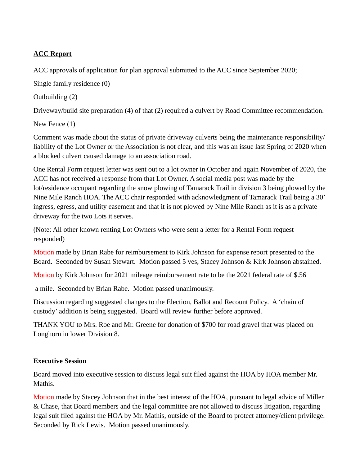## **ACC Report**

ACC approvals of application for plan approval submitted to the ACC since September 2020;

Single family residence (0)

Outbuilding (2)

Driveway/build site preparation (4) of that (2) required a culvert by Road Committee recommendation.

New Fence (1)

Comment was made about the status of private driveway culverts being the maintenance responsibility/ liability of the Lot Owner or the Association is not clear, and this was an issue last Spring of 2020 when a blocked culvert caused damage to an association road.

One Rental Form request letter was sent out to a lot owner in October and again November of 2020, the ACC has not received a response from that Lot Owner. A social media post was made by the lot/residence occupant regarding the snow plowing of Tamarack Trail in division 3 being plowed by the Nine Mile Ranch HOA. The ACC chair responded with acknowledgment of Tamarack Trail being a 30' ingress, egress, and utility easement and that it is not plowed by Nine Mile Ranch as it is as a private driveway for the two Lots it serves.

(Note: All other known renting Lot Owners who were sent a letter for a Rental Form request responded)

Motion made by Brian Rabe for reimbursement to Kirk Johnson for expense report presented to the Board. Seconded by Susan Stewart. Motion passed 5 yes, Stacey Johnson & Kirk Johnson abstained.

Motion by Kirk Johnson for 2021 mileage reimbursement rate to be the 2021 federal rate of \$.56

a mile. Seconded by Brian Rabe. Motion passed unanimously.

Discussion regarding suggested changes to the Election, Ballot and Recount Policy. A 'chain of custody' addition is being suggested. Board will review further before approved.

THANK YOU to Mrs. Roe and Mr. Greene for donation of \$700 for road gravel that was placed on Longhorn in lower Division 8.

## **Executive Session**

Board moved into executive session to discuss legal suit filed against the HOA by HOA member Mr. Mathis.

Motion made by Stacey Johnson that in the best interest of the HOA, pursuant to legal advice of Miller & Chase, that Board members and the legal committee are not allowed to discuss litigation, regarding legal suit filed against the HOA by Mr. Mathis, outside of the Board to protect attorney/client privilege. Seconded by Rick Lewis. Motion passed unanimously.